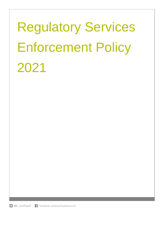# Regulatory Services Enforcement Policy 2021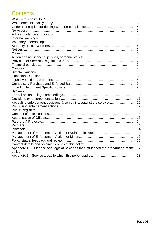## **Contents**

|                                                                                    | 3              |
|------------------------------------------------------------------------------------|----------------|
|                                                                                    | 3              |
|                                                                                    | 4              |
|                                                                                    | 5              |
|                                                                                    | 5              |
|                                                                                    | 6              |
|                                                                                    | 6              |
|                                                                                    | 6              |
|                                                                                    | 6              |
|                                                                                    | 6              |
|                                                                                    | $\overline{7}$ |
|                                                                                    | $\overline{7}$ |
|                                                                                    | $\overline{7}$ |
|                                                                                    | 8              |
|                                                                                    | 8              |
|                                                                                    | 8              |
|                                                                                    | 8              |
|                                                                                    | 9              |
|                                                                                    | 9              |
|                                                                                    | 10             |
|                                                                                    | 10             |
|                                                                                    | 11             |
| Appealing enforcement decisions & complaints against the service                   | 12             |
|                                                                                    | 12             |
|                                                                                    | 13             |
|                                                                                    | 13             |
|                                                                                    | 13             |
|                                                                                    | 14             |
|                                                                                    | 14             |
|                                                                                    | 14             |
| Management of Enforcement Action for Vulnerable People                             | 14             |
|                                                                                    | 15             |
|                                                                                    | 16             |
|                                                                                    | 16             |
| Appendix 1 - Guidance and legislative codes that influenced the preparation of the | 17             |
| policy                                                                             |                |
|                                                                                    | 18             |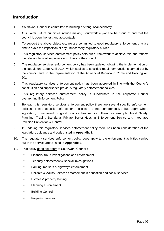## **Introduction**

- 1. Southwark Council is committed to building a strong local economy.
- 2. Our Fairer Future principles include making Southwark a place to be proud of and that the council is open, honest and accountable.
- 3. To support the above objectives, we are committed to good regulatory enforcement practice and to avoid the imposition of any unnecessary regulatory burden.
- 4. This regulatory services enforcement policy sets out a framework to achieve this and reflects the relevant legislative powers and duties of the council.
- 5. The regulatory services enforcement policy has been updated following the implementation of the Regulators Code April 2014, which applies to specified regulatory functions carried out by the council, and, to the implementation of the Anti-social Behaviour, Crime and Policing Act 2014.
- 6. This regulatory services enforcement policy has been approved in line with the Council's constitution and supersedes previous regulatory enforcement policies.
- 7. This regulatory services enforcement policy is subordinate to the corporate Council overarching [Enforcement Policy.](https://www.southwark.gov.uk/assets/attach/2930/Southwark-Enforcement-Policy-2007.pdf)
- 8. Beneath this regulatory services enforcement policy there are several specific enforcement policies. These specific enforcement policies are not comprehensive but apply where legislation, government or good practice has required them, for example, Food Safety, Planning, Trading Standards Private Sector Housing Enforcement Service and Integrated Pollution Prevention & Control.
- 9. In updating this regulatory services enforcement policy there has been consideration of the legislation, guidance and codes listed in **Appendix 1**.
- 10. The regulatory services enforcement policy does apply to the enforcement activities carried out in the service areas listed in **Appendix 2**.
- 11. This policy does not apply to Southwark Council's:
	- **Financial fraud investigations and enforcement**
	- **Tenancy enforcement & special investigations**
	- **Parking, markets & highways enforcement**
	- Children & Adults Services enforcement in education and social services
	- **Estates & property leasing**
	- **Planning Enforcement**
	- **Building Control**
	- **•** Property Services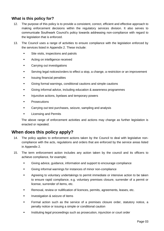#### **What is this policy for?**

- 12. The purpose of this policy is to provide a consistent, correct, efficient and effective approach to making enforcement decisions within the regulatory services division. It also serves to communicate Southwark Council's policy towards addressing non-compliance with regard to the legislation that is enforced.
- 13. The Council uses a range of activities to ensure compliance with the legislation enforced by the services listed in Appendix 2. These include:
	- Site visits, inspections and patrols
	- **EXECUTE:** Acting on intelligence received
	- **EXEC** Carrying out investigations
	- Serving legal notices/orders to effect a stop, a change, a restriction or an improvement
	- **Insuing financial penalties**
	- Giving formal warnings, conditional cautions and simple cautions
	- Giving informal advice, including education & awareness programmes
	- Injunctive actions, byelaws and temporary powers
	- **Prosecutions**
	- Carrying out test purchases, seizure, sampling and analysis
	- Licensing and Permits

The above range of enforcement activities and actions may change as further legislation is enacted or repealed.

#### **When does this policy apply?**

- 14. The policy applies to enforcement actions taken by the Council to deal with legislative noncompliance with the acts, regulations and orders that are enforced by the service areas listed in Appendix 2.
- 15. The term enforcement action includes any action taken by the council and its officers to achieve compliance, for example;
	- Giving advice, guidance, information and support to encourage compliance
	- Giving informal warnings for instances of minor non-compliance
	- **Agreeing to voluntary undertakings to permit immediate or intensive action to be taken** to ensure rapid compliance, e.g. voluntary premises closure, surrender of a permit or license, surrender of items, etc.
	- Removal, review or nullification of licences, permits, agreements, leases, etc.
	- **Investigation & seizure of items**
	- **Formal action such as the service of a premises closure order, statutory notice, a** penalty notice or issuing a simple or conditional caution
	- **Instituting legal proceedings such as prosecution, injunction or court order**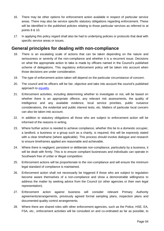- 16. There may be other options for enforcement action available in respect of particular service areas. There may also be service specific statutory obligations regarding enforcement. These will be identified in the published policies relating to those particular services as referred to at points 8 & 10.
- 17. In applying this policy regard shall also be had to underlying policies or protocols that deal with specific service areas or issues.

## **General principles for dealing with non-compliance**

- 18. There is an escalating scale of actions that can be taken depending on the nature and seriousness or severity of the non-compliance and whether it is a recurrent issue. Decisions on what the appropriate action to take is made by officers named in the Council's published scheme of delegations. This regulatory enforcement policy will be taken into account when those decisions are under consideration.
- 19. The type of enforcement action taken will depend on the particular circumstance of concern.
- 20. The council and its officers will be fair, objective and take into account the council's published approach to **equality**.
- 21. Enforcement activities, including determining whether to investigate or not, will be based on whether there is an appropriate offence, any relevant risk assessments, the quality of intelligence and any available evidence, local service priorities, public nuisance considerations, the evidential and public interest tests, etc. Matters of particular local concern can also be taken into account.
- 22. In addition to statutory obligations all those who are subject to enforcement action will be informed of the reasons in writing.
- 23. Where further action is needed to achieve compliance, whether this be to a domestic occupier, a landlord, a business or a group such as a charity, is required, this will be expressly stated with a clear timeframe (where applicable). This process should involve dialogue and research to ensure timeframes applied are reasonable and achievable.
- 24. Where there is negligent, persistent or deliberate non-compliance, particularly by a business, it will be dealt with firmly. This is to ensure compliant businesses and individuals can operate in Southwark free of unfair or illegal competition.
- 25. Enforcement actions will be proportionate to the non-compliance and will ensure the minimum legal standard of compliance is maintained.
- 26. Enforcement action shall not necessarily be triggered if those who are subject to regulation become aware themselves of a non-compliance and show a demonstrable willingness to address the matter by seeking advice from the Council (or other agencies or their own legal representation).
- 27. Enforcement action against business will consider relevant Primary Authority agreements/arrangements, previously agreed formal sampling plans, inspection plans and documented quality control arrangements.
- 28. Where there are shared roles with other enforcement agencies, such as the Police, HSE, EA, FSA, etc., enforcement activities will be consulted on and co-ordinated as far as possible, to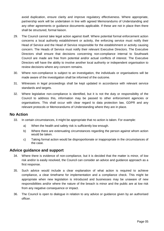avoid duplication, ensure clarity and improve regulatory effectiveness. Where appropriate, partnership work will be undertaken in line with agreed Memorandums of Understanding and any other agreements or guidance documents applicable. If these are not in place then there shall be structured, formal liaison.

- 29. The Council cannot take legal action against itself. Where potential formal enforcement action concerns a local authority establishment or activity, the enforcing service must notify their Head of Service and the Head of Service responsible for the establishment or activity causing concern. The Heads of Service must notify their relevant Executive Directors. The Executive Directors shall ensure that decisions concerning non-compliance internal to Southwark Council are made are free from potential and/or actual conflicts of interest. The Executive Directors will have the ability to involve another local authority or independent organisation to review decisions where any concern remains.
- 30. Where non-compliance is subject to an investigation, the individuals or organisations will be made aware of the investigation shall be informed of the outcome.
- 31. Witnesses in legal proceedings shall be kept updated in accordance with relevant service standards and targets.
- 32. Where legislative non-compliance is identified, but it is not the duty or responsibility of the Council to address this, information may be passed to other enforcement agencies or organisations. This shall occur with clear regard to data protection law, GDPR and any relevant protocols or Memorandums of Understanding where they are in place.

#### **No Action**

- 33. In certain circumstances, it might be appropriate that no action is taken. For example:
	- a) When the health and safety risk is sufficiently low enough.
	- b) Where there are extenuating circumstances regarding the person against whom action would be taken.
	- c) Taking formal action would be disproportionate or inappropriate in the circumstances of the case.

#### **Advice guidance and support**

- 34. Where there is evidence of non-compliance, but it is decided that the matter is minor, of low risk and/or is easily resolved, the Council can consider an advice and guidance approach as a first response.
- 35. Such advice would include a clear explanation of what action is required to achieve compliance, a clear timeframe for implementation and a compliance check. This might be appropriate when new legislation is introduced and businesses may be unaware of new responsibilities and/or where the nature of the breach is minor and the public are at low risk from any negative consequence or impact.
- 36. The Council is open to dialogue in relation to any advice or guidance given by an authorised officer.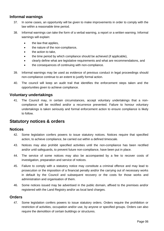#### **Informal warnings**

- 37. In some cases, an opportunity will be given to make improvements in order to comply with the law within a reasonable time period.
- 38. Informal warnings can take the form of a verbal warning, a report or a written warning. Informal warnings will explain:
	- the law that applies,
	- the nature of the non-compliance,
	- the action to take.
	- the time period by which compliance should be achieved (if applicable),
	- clearly define what are legislative requirements and what are recommendations, and
	- the consequences of continuing with non-compliance.
- 39. Informal warnings may be used as evidence of previous conduct in legal proceedings should non-compliance continue to an extent to justify formal action.
- 40. The council will keep an audit trail that identifies the enforcement steps taken and the opportunities given to achieve compliance.

#### **Voluntary undertakings**

41. The Council may, in certain circumstances, accept voluntary undertakings that a noncompliance will be rectified and/or a recurrence prevented. Failure to honour voluntary undertakings is taken seriously and formal enforcement action to ensure compliance is likely to follow.

#### **Statutory notices & orders**

#### **Notices**

- 42. Some legislation confers powers to issue statutory notices. Notices require that specified action, to achieve compliance, be carried out within a defined timescale.
- 43. Notices may also prohibit specified activities until the non-compliance has been rectified and/or until safeguards, to prevent future non-compliance, have been put in place.
- 44. The service of some notices may also be accompanied by a fee to recover costs of investigation, preparation and service of notices.
- 45. Failure to comply with a statutory notice may constitute a criminal offence and may lead to prosecution or the imposition of a financial penalty and/or the carrying out of necessary works in default by the Council and subsequent recovery or the costs for those works and administration and organisation of them.
- 46. Some notices issued may be advertised in the public domain, affixed to the premises and/or registered with the Land Registry and/or as local land charges.

#### **Orders**

47. Some legislation confers powers to issue statutory orders. Orders require the prohibition or restriction of activities, occupation and/or use, by anyone or specified groups. Orders can also require the demolition of certain buildings or structures.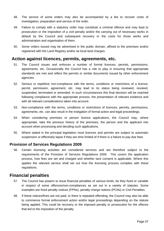- 48. The service of some orders may also be accompanied by a fee to recover costs of investigation, preparation and service of the order.
- 49. Failure to comply with a statutory order may constitute a criminal offence and may lead to prosecution or the imposition of a civil penalty and/or the carrying out of necessary works in default by the Council and subsequent recovery or the costs for those works and administration and organisation of them.
- 50. Some orders issued may be advertised in the public domain, affixed to the premises and/or registered with the Land Registry and/or as local land charges.

#### **Action against licences, permits, agreements, etc.**

- 51. The Council issues and enforces a number of formal licences, permits, permissions, agreements, etc. Occasionally the Council has a role to play in ensuring that appropriate standards are met and reflect the permits or similar documents issued by other enforcement agencies.
- 52. Serious or repetitive non-compliance with the terms, conditions or restrictions of a licence, permit, permission, agreement, etc. may lead to its status being reviewed, revoked, suspended, terminated or amended. In such circumstances this final decision will be reached following compliance with the appropriate process, the presentation of relevant evidence and with all relevant considerations taken into account.
- 53. Non-compliance with the terms, conditions or restrictions of licences, permits, permissions, agreements, etc. can also result in the instigation of formal action and legal proceedings.
- 54. When considering premises or person licence applications, the Council may, where appropriate, take the previous history of the premises, the person and the applicant into account when processing and deciding such applications.
- 55. Where stated in the principal legislation most licences and permits are subject to automatic suspension or effectively lapse if they are time limited of if there is a failure to pay due fees.

#### **Provision of Services Regulations 2009**

56. Certain licensing activities are considered services and are therefore subject to the requirements of the Provision of Services Regulations 2009. This covers the application process, how fees are set and charged and whether tacit consent is applicable. Where this applies the relevant service shall set out how the licensing process complies with these regulations.

#### **Financial penalties**

- 57. The Council has powers to issue financial penalties of various kinds, be they fixed or variable in respect of some offences/non-compliances as set out in a variety of statutes. Some examples are fixed penalty notices (FPNs), penalty charge notices (PCNs) or Civil Penalties.
- 58. If these notices/fines are not paid, or there is repeated offending, the Council may also be able to commence formal enforcement action and/or legal proceedings depending on the statute being applied. This could be recovery or the imposed penalty or prosecution for the offence that led to the imposition of the penalty.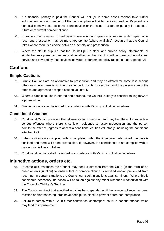- 59. If a financial penalty is paid the Council will not (or in some cases cannot) take further enforcement action in respect of the non-compliance that led to its imposition. Payment of a financial penalty does not prevent prosecution or the issue of a further penalty in respect of future or recurrent non-compliance.
- 60. In some circumstances, in particular where a non-compliance is serious in its impact or is recurrent, prosecution may be more appropriate (where available) recourse that the Council takes where there is a choice between a penalty and prosecution.
- 61. Where the statute stipules that the Council put in place and publish policy, statements, or similar before a power to use financial penalties can be used this will be done by the individual service and covered by that services individual enforcement policy (as set out at Appendix 2).

## **Cautions**

#### **Simple Cautions**

- 62. Simple Cautions are an alternative to prosecution and may be offered for some less serious offences where there is sufficient evidence to justify prosecution and the person admits the offence and agrees to accept a caution voluntarily.
- 63. Where a simple caution is offered and declined, the Council is likely to consider taking forward a prosecution.
- 64. Simple cautions shall be issued in accordance with Ministry of Justice guidelines.

#### **Conditional Cautions**

- 65. Conditional Cautions are another alternative to prosecution and may be offered for some less serious offences where there is sufficient evidence to justify prosecution and the person admits the offence, agrees to accept a conditional caution voluntarily, including the conditions attached to it.
- 66. If the conditions are complied with or completed within the timescales determined, the case is finalised and there will be no prosecution. If, however, the conditions are not complied with, a prosecution is likely to follow.
- 67. Conditional cautions shall be issued in accordance with Ministry of Justice guidelines.

#### **Injunctive actions, orders etc.**

- 68. In some circumstances the Council may seek a direction from the Court (in the form of an order or an injunction) to ensure that a non-compliance is rectified and/or prevented from recurring. In certain situations the Council can seek injunctions against minors. Where this is considered necessary, no action will be taken against any minor without full consultation with the Council's Children's Services.
- 69. The Court may direct that specified activities be suspended until the non-compliance has been rectified and/or that safeguards have been put in place to prevent future non-compliance.
- 70. Failure to comply with a Court Order constitutes 'contempt of court', a serious offence which may lead to imprisonment.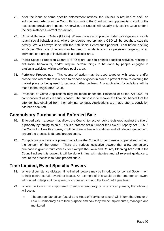- 71. After the issue of some specific enforcement notices, the Council is required to seek an enforcement order from the Court, thus providing the Court with an opportunity to confirm the restrictions previously imposed. Otherwise, the Council will usually only seek a Court Order if the circumstances warrant this action.
- 72. Criminal Behaviour Orders (CBO's). Where the non-compliance under investigation amounts to anti-social behaviour and, where considered appropriate, a CBO will be sought to stop the activity. We will always liaise with the Anti-Social Behaviour Specialist Team before seeking an Order. This type of action may be used in incidents such as persistent targeting of an individual or a group of individuals in a particular area.
- 73. Public Spaces Protection Orders (PSPO's) are used to prohibit specified activities relating to anti-social behaviours, and/or require certain things to be done by people engaged in particular activities, within a defined public area.
- 74. Forfeiture Proceedings This course of action may be used together with seizure and/or prosecution where there is a need to dispose of goods in order to prevent them re-entering the market place or being used to cause a further problem. Any application for forfeiture will be made to the Magistrates' Court.
- 75. Proceeds of Crime Applications may be made under the Proceeds of Crime Act 2002 for confiscation of assets in serious cases. The purpose is to recover the financial benefit that the offender has obtained from their criminal conduct. Applications are made after a conviction has been secured.

## **Compulsory Purchase and Enforced Sale**

- 76. Enforced sale a power that allows the Council to recover debts registered against the title of a property by forcing its sale. This is a process set out under the Law of Property Act 1925. If the Council utilises this power, it will be done in line with statutes and all relevant guidance to ensure the process is fair and proportionate.
- 77. Compulsory purchase a power that allows the Council to purchase a property/land without the consent of the owner. There are various legislative powers that allow compulsory purchase in given circumstances, for example the Town and Country Planning Act 1990. If the Council utilises this power, it will be done in line with statutes and all relevant guidance to ensure the process is fair and proportionate.

## **Time Limited, Event Specific Powers**

- 78. Where circumstance dictates, 'time-limited' powers may be introduced by central Government to help control certain events or issues. An example of this would be the emergency powers introduced to help limit the spread of coronavirus during the COVID-19 pandemic.
- 79. Where the Council is empowered to enforce temporary or time limited powers, the following will occur:
	- The appropriate officer (usually the Head of Service or above) will inform the Director of Law & Democracy as to their purpose and how they will be implemented, managed and monitored.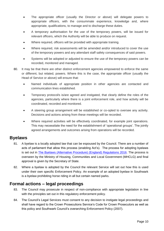- The appropriate officer (usually the Director or above) will delegate powers to appropriate officers, with the consummate experience, knowledge and, where appropriate, qualifications, to manage and to discharge these duties.
- A temporary authorisation for the use of the temporary powers, will be issued for relevant officers, which the Authority will be able to produce on request.
- Where required, officers will be provided with appropriate training.
- Where required, risk assessments will be amended and/or introduced to cover the use of the temporary powers and any attendant staff safety consequences of said powers.
- Systems will be adopted or adjusted to ensure the use of the temporary powers can be recorded, monitored and managed.
- 80. It may be that there are other distinct enforcement agencies empowered to enforce the same or different, but related, powers. Where this is the case, the appropriate officer (usually the Head of Service or above) will ensure that:
	- Named individuals of appropriate position in other agencies are contacted and communication lines established.
	- Temporary protocol/s is/are agreed and instigated, that clearly define the roles of the agencies, particularly where there is a joint enforcement role, and how activity will be coordinated, recorded and monitored.
	- A steering group arrangement will be established or co-opted to oversee any activity. Decisions and actions arising from these meetings will be recorded.
	- Where required activities will be effectively coordinated, for example joint operations. This may necessitate the need for the establishment of 'operational groups'. The jointly agreed arrangements and outcomes arising from operations will be recorded.

#### **Byelaws**

- 81. A byelaw is a locally adopted law that can be espoused by the Council. There are a number of acts of parliament that allow this process (enabling Act's). The process for adopting byelaws is set out in [The Byelaws \(Alternative Procedure\) \(England\) Regulations 2016.](https://www.legislation.gov.uk/uksi/2016/165/contents/made) The process is overseen by the Ministry of Housing, Communities and Local Government (MHCLG) and final approval is given by the Secretary of State.
- 82. Where a byelaw is adopted by the Council the relevant Service will set out how this is used under their own specific Enforcement Policy. An example of an adopted byelaw in Southwark is a byelaw prohibiting horse riding in all but certain named parks.

## **Formal actions – legal proceedings**

- 83. The Council may prosecute in respect of non-compliance with appropriate legislation in line with the principles set out in this regulatory enforcement policy.
- 84. The Council's Legal Services must consent to any decision to instigate legal proceedings and shall have regard to the Crown Prosecutions Service's Code for Crown Prosecutors as well as this policy and Southwark Council's overarching [Enforcement Policy](https://www.southwark.gov.uk/assets/attach/2930/Southwark-Enforcement-Policy-2007.pdf) (2007).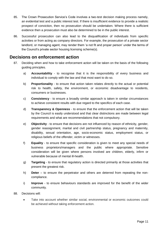- 85. The Crown Prosecution Service's Code involves a two-test decision making process namely, an evidential test and a public interest test. If there is insufficient evidence to provide a realistic prospect of conviction, then no prosecution should be undertaken. Where there is sufficient evidence then a prosecution must also be determined to be in the public interest.
- 86. Successful prosecution can also lead to the disqualification of individuals from specific activities or from acting as company directors. For example, the prosecution of a private sector landlord, or managing agent, may render them 'a not fit and proper person' under the terms of the Council's private sector housing licensing scheme(s).

#### **Decisions on enforcement action**

- 87. Deciding when and how to take enforcement action will be taken on the basis of the following guiding principles.
	- a) **Accountability** to recognise that it is the responsibility of every business and individual to comply with the law and that most want to do so.
	- b) **Proportionality** to ensure that action taken relates directly to the actual or potential risk to health, safety, the environment, or economic disadvantage to residents, consumers or businesses.
	- c) **Consistency** to ensure a broadly similar approach is taken in similar circumstances to achieve consistent results with due regard to the specifics of each case.
	- d) **Transparency & Openness** to ensure that the enforcement action that will be taken by the Council is easily understood and that clear distinctions are made between legal requirements and what are recommendations that not compulsory.
	- e) **Objectivity** to ensure that decisions are not influenced by reason of ethnicity, gender, gender reassignment, marital and civil partnership status, pregnancy and maternity, disability, sexual orientation, age, socio-economic status, employment status, or religious beliefs of the offender, victim or witnesses.
	- f) **Equality**  to ensure that specific consideration is given to meet any special needs of business proprietors/managers and the public where appropriate. Sensitive consideration will be given where persons involved are children, elderly, infirm or vulnerable because of mental ill-health.
	- g) **Targeting** to ensure that regulatory action is directed primarily at those activities that present the greatest risk.
	- h) **Deter**  to ensure the perpetrator and others are deterred from repeating the noncompliance.
	- i) **Improve**  to ensure behaviours standards are improved for the benefit of the wider community.
- 88. Decisions will:
	- Take into account whether similar social, environmental or economic outcomes could be achieved without taking enforcement action.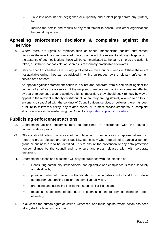- Take into account risk, negligence or culpability and protect people from any (further) harm.
- Include the details and results of any requirement to consult with other organisations before taking action.

## **Appealing enforcement decisions & complaints against the service**

- 89. Where there are rights of representation or appeal mechanisms against enforcement decisions these will be communicated in accordance with the relevant statutory obligations. In the absence of such obligations these will be communicated at the same time as the action is taken, or, if that is not possible, as soon as is reasonably practicable afterwards.
- 90. Service specific standards are usually published on the Council's website. Where these are not available online, they can be advised in writing on request by the relevant enforcement service area or team.
- 91. An appeal against enforcement action is distinct and separate from a complaint against the conduct of an officer or a service. If the recipient of enforcement action or someone affected by that enforcement action is aggrieved by its imposition, they should seek remedy by way of appeal to the relevant authority/court/tribunal, where they are legislatively allowed to do this. If anyone is dissatisfied with the conduct of Council officers/service, or believes there has been a failure to follow this policy, any related codes, or to meet service standards, a 'complaint about service' can be made using the Council's [corporate complaints procedure.](https://www.southwark.gov.uk/council-and-democracy/complaints-comments-and-compliments)

#### **Publicising enforcement actions**

- 92. Enforcement actions outcomes may be published in accordance with the council's communications protocol.
- 93. Officers should follow the advice of both legal and communications representatives with regard to press releases and other publicity, particularly where details of a particular person, group or business are to be identified. This to ensure the prevention of any data protection non-compliance by the council and to ensure any press releases align with corporate objectives.
- 94. Enforcement actions and outcomes will only be published with the intention of:
	- Reassuring community stakeholders that legislative non-compliance is taken seriously and dealt with,
	- **•** providing public information on the standards of acceptable conduct and thus to deter others from undertaking similar non-compliant activities,
	- **F** promoting and increasing intelligence about similar issues, and
	- to act as a deterrent to offenders or potential offenders from offending or repeat offending.
- 95. In all cases the human rights of victims, witnesses, and those against whom action has been taken, shall be taken into account.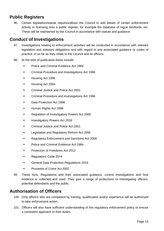## **Public Registers**

96. Certain legislation/statute requires/allows the Council to add details of certain enforcement activity or licensing onto a public register, for example the database of rogue landlords, etc. These will be maintained by the Council in accordance with statute and guidance.

## **Conduct of Investigations**

- 97. Investigations relating to enforcement activities will be conducted in accordance with relevant legislation and statutory obligations and with regard to any associated guidance or codes of practice, in so far as they relate to the Council and its officers.
- 98. At the time of publication these include:
	- Police and Criminal Evidence Act 1984
	- **•** Criminal Procedure and Investigations Act 1996
	- **Housing Act 1996**
	- Housing Act 2004
	- Criminal Justice and Police Act 2001
	- Criminal Procedure and Investigations Act 1996
	- Data Protection Act 1998
	- **Human Rights Act 1998**
	- Regulation of Investigatory Powers Act 2000
	- Investigatory Powers Act 2016
	- Criminal Justice and Police Act 2001
	- Legislative and Regulatory Reform Act 2006
	- Regulatory Enforcement and Sanctions Act 2008
	- **Police and Criminal Evidence Act 1984**
	- **Protection of Freedoms Act 2012**
	- **Regulators' Code 2014**
	- **General Data Protection Regulations 2016**
	- Proceeds of Crime Act 2002
- 99. These Acts, Regulations and their associated guidance, control investigations and how evidence is collected and used. They give a range of protections to investigating officers, potential defendants and the public.

#### **Authorisation of Officers**

- 100. Only officers who are competent by training, qualification and/or experience will be authorised to take enforcement action.
- 101. Officers will also have sufficient understanding of this regulatory enforcement policy to ensure a consistent approach to their duties.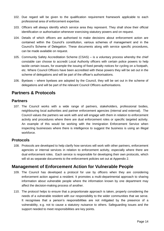- 102. Due regard will be given to the qualification requirement framework applicable to each professional area of enforcement expertise.
- 103. Officers will always identify which service area they represent. They shall show their official identification or authorisation whenever exercising statutory powers and on request.
- 104. Details of which officers are authorised to make decisions about enforcement action are contained within the Council's constitution, various schemes of management and in the Council's Scheme of Delegation. These documents along with service specific procedures, can be made available on request.
- 105. Community Safety Accreditation Scheme (CSAS) is a voluntary process whereby the chief constable can choose to accredit Local Authority officers with certain police powers to help tackle certain issues, for example the issuing of fixed penalty notices for cycling on a footpath, etc. Where Council Officers have been accredited with these powers they will be set out in the scheme of delegations and will be part of the officer's authorisations.
- 106. Byelaws where byelaws are adopted by the Council, they will be set out in the scheme of delegations and will be part of the relevant Council Officers authorisations.

## **Partners & Protocols**

#### **Partners**

107. The Council works with a wide range of partners, stakeholders, professional bodies, neighbouring local authorities and partner enforcement agencies (internal and external). The Council values the partners we work with and will engage with them in relation to enforcement activity and procedures where there are dual enforcement roles or specific targeted activity. An example of this would be working with the Immigration Enforcement Service when inspecting businesses where there is intelligence to suggest the business is using an illegal workforce.

#### **Protocols**

108. Protocols are developed to help clarify how services will work with other partners, enforcement agencies or internal services in relation to enforcement activity, especially where there are dual enforcement roles. Each service is responsible for developing their own protocols, which will sit as separate documents to the enforcement policies set out at Appendix 2.

#### **Management of Enforcement Action for Vulnerable People**

- 109. The Council has developed a protocol for use by officers when they are considering enforcement action against a resident. It promotes a multi-departmental approach to sharing information about vulnerable people where the information known by one department may affect the decision-making process of another.
- 110. The protocol helps to ensure that a proportionate approach is taken, properly considering the needs of a vulnerable resident with our responsibility to the wider communities that we serve. It recognises that a person's responsibilities are not mitigated by the presence of a vulnerability, e.g. not to cause a statutory nuisance to others. Safeguarding issues and the support needed to meet responsibilities are key points.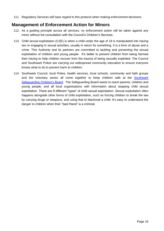111. Regulatory Services will have regard to this protocol when making enforcement decisions.

## **Management of Enforcement Action for Minors**

- 112. As a guiding principle across all services, no enforcement action will be taken against any minor without full consultation with the Council's Children's Services.
- 113. Child sexual exploitation (CSE) is when a child under the age of 18 is manipulated into having sex or engaging in sexual activities, usually in return for something. It is a form of abuse and a crime. This Authority and its partners are committed to tackling and preventing the sexual exploitation of children and young people. It's better to prevent children from being harmed then having to help children recover from the trauma of being sexually exploited. The Council and Southwark Police are carrying out widespread community education to ensure everyone knows what to do to prevent harm to children.
- 114. Southwark Council, local Police, health services, local schools, community and faith groups and the voluntary sector all come together to keep children safe at the [Southwark](https://safeguarding.southwark.gov.uk/)  [Safeguarding Children's Board.](https://safeguarding.southwark.gov.uk/) The Safeguarding Board wants to reach parents, children and young people, and all local organisations with information about stopping child sexual exploitation. There are 9 different "types" of child sexual exploitation. Sexual exploitation often happens alongside other forms of child exploitation, such as forcing children to break the law by carrying drugs or weapons, and using that to blackmail a child. It's easy to understand the danger to children when their "best friend" is a criminal.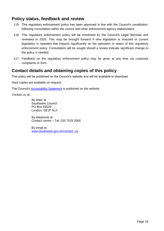## **Policy status, feedback and review**

- 115. This regulatory enforcement policy has been approved in line with the Council's constitution, following consultation within the council and other enforcement agency stakeholders.
- 116. This regulatory enforcement policy will be monitored by the Council's Legal Services and reviewed in 2025. This may be brought forward if new legislation is enacted or current legislation is repealed that impacts significantly on the operation or status of this regulatory enforcement policy. Consultation will be sought should a review indicate significant change to the policy is needed.
- 117. Feedback on the regulatory enforcement policy may be given at any time via corporate complaints or form.

## **Contact details and obtaining copies of this policy**

This policy will be published on the Council's website and will be available to download.

Hard copies are available on request.

The Council's [Accessibility Statement](https://www.southwark.gov.uk/terms-and-disclaimer/accessibility-statement) is published on the website

Contact us at:

By letter at Southwark Council PO Box 64529 London, SE1P 5LX

By telephone at Contact centre – Tel: 020 7525 2000

By email at [www.southwark.gov.uk/contact\\_us](http://www.southwark.gov.uk/contact_us)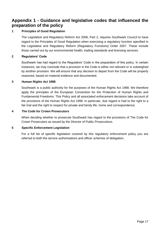## **Appendix 1 - Guidance and legislative codes that influenced the preparation of the policy**

#### **1 Principles of Good Regulation**

The Legislative and Regulatory Reform Act 2006, Part 2, requires Southwark Council to have regard to the Principles of Good Regulation when exercising a regulatory function specified in the Legislative and Regulatory Reform (Regulatory Functions) Order 2007. These include those carried out by our environmental health, trading standards and licensing services.

#### **2 Regulators' Code**

Southwark has had regard to the Regulators' Code in the preparation of this policy. In certain instances, we may conclude that a provision in the Code is either not relevant or is outweighed by another provision. We will ensure that any decision to depart from the Code will be properly reasoned, based on material evidence and documented.

#### **3 Human Rights Act 1998**

Southwark is a public authority for the purposes of the Human Rights Act 1998. We therefore apply the principles of the European Convention for the Protection of Human Rights and Fundamental Freedoms. This Policy and all associated enforcement decisions take account of the provisions of the Human Rights Act 1998. In particular, due regard is had to the right to a fair trial and the right to respect for private and family life, home and correspondence.

#### **4 The Code for Crown Prosecutors**

When deciding whether to prosecute Southwark has regard to the provisions of The Code for Crown Prosecutors as issued by the Director of Public Prosecutions.

#### **5 Specific Enforcement Legislation**

For a full list of specific legislation covered by this regulatory enforcement policy you are referred to both the service authorisations and officer schemes of delegation.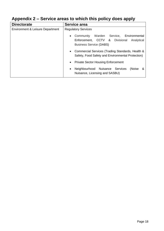| <b>Directorate</b>               | Service area                                                                                                              |
|----------------------------------|---------------------------------------------------------------------------------------------------------------------------|
| Environment & Leisure Department | <b>Regulatory Services</b>                                                                                                |
|                                  | Warden Service, Environmental<br>Community<br>Enforcement, CCTV & Divisional Analytical<br><b>Business Service (DABS)</b> |
|                                  | Commercial Services (Trading Standards, Health &<br>Safety, Food Safety and Environmental Protection)                     |
|                                  | <b>Private Sector Housing Enforcement</b><br>$\bullet$                                                                    |
|                                  | Neighbourhood Nuisance Services<br>(Noise<br>- &<br>$\bullet$<br>Nuisance, Licensing and SASBU)                           |

# **Appendix 2 – Service areas to which this policy does apply**